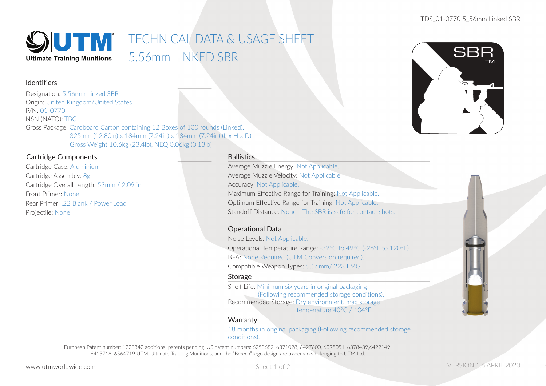

# TECHNICAL DATA & USAGE SHEET 5.56mm LINKED SBR

### Identifiers

Designation: 5.56mm Linked SBR Origin: United Kingdom/United States P/N: 01-0770NSN (NATO): TBC Gross Package: Cardboard Carton containing 12 Boxes of 100 rounds (Linked). 325mm (12.80in) x 184mm (7.24in) x 184mm (7.24in) (L x H x D) Gross Weight 10.6kg (23.4lb), NEQ 0.06kg (0.13lb)

### Cartridge Components

Cartridge Case: Aluminium Cartridge Assembly: 8g Cartridge Overall Length: 53mm / 2.09 in Front Primer: None.Rear Primer: 22 Blank / Power Load Projectile: None.

### **Ballistics**

Average Muzzle Energy: Not Applicable. Average Muzzle Velocity: Not Applicable. Accuracy: Not Applicable. Maximum Effective Range for Training: Not Applicable. Optimum Effective Range for Training: Not Applicable. Standoff Distance: None - The SBR is safe for contact shots.

### Operational Data

Noise Levels: Not Applicable. Operational Temperature Range: -32°C to 49°C (-26°F to 120°F) BFA: None Required (UTM Conversion required). Compatible Weapon Types: 5.56mm/.223 LMG.

### Storage

Shelf Life: Minimum six years in original packaging (Following recommended storage conditions). Recommended Storage: Dry environment, max storage temperature 40°C / 104°F

### **Warranty**

18 months in original packaging (Following recommended storage conditions).

European Patent number: 1228342 additional patents pending. US patent numbers: 6253682, 6371028, 6427600, 6095051, 6378439,6422149, 6415718, 6564719 UTM, Ultimate Training Munitions, and the "Breech" logo design are trademarks belonging to UTM Ltd.